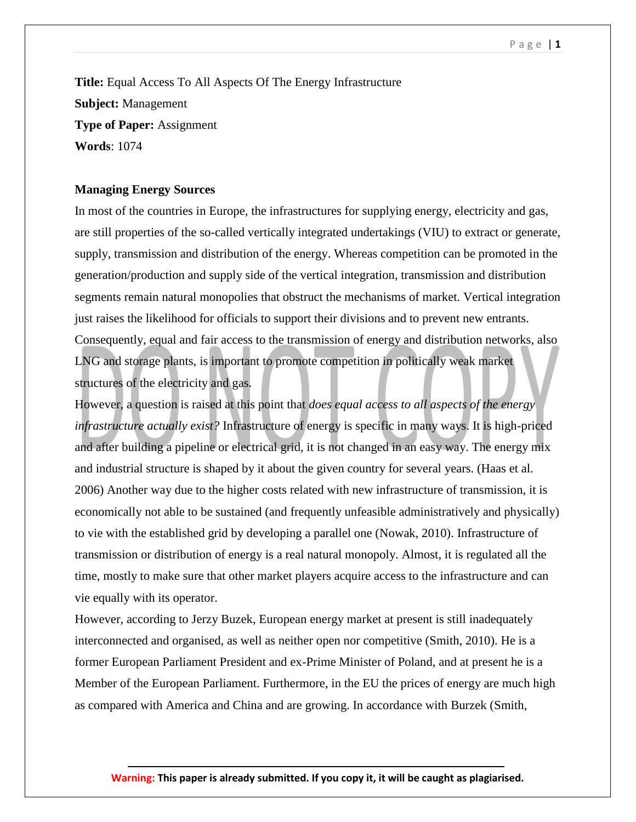**Title:** Equal Access To All Aspects Of The Energy Infrastructure **Subject:** Management **Type of Paper:** Assignment **Words**: 1074

## **Managing Energy Sources**

In most of the countries in Europe, the infrastructures for supplying energy, electricity and gas, are still properties of the so-called vertically integrated undertakings (VIU) to extract or generate, supply, transmission and distribution of the energy. Whereas competition can be promoted in the generation/production and supply side of the vertical integration, transmission and distribution segments remain natural monopolies that obstruct the mechanisms of market. Vertical integration just raises the likelihood for officials to support their divisions and to prevent new entrants. Consequently, equal and fair access to the transmission of energy and distribution networks, also LNG and storage plants, is important to promote competition in politically weak market structures of the electricity and gas.

However, a question is raised at this point that *does equal access to all aspects of the energy infrastructure actually exist?* Infrastructure of energy is specific in many ways. It is high-priced and after building a pipeline or electrical grid, it is not changed in an easy way. The energy mix and industrial structure is shaped by it about the given country for several years. (Haas et al. 2006) Another way due to the higher costs related with new infrastructure of transmission, it is economically not able to be sustained (and frequently unfeasible administratively and physically) to vie with the established grid by developing a parallel one (Nowak, 2010). Infrastructure of transmission or distribution of energy is a real natural monopoly. Almost, it is regulated all the time, mostly to make sure that other market players acquire access to the infrastructure and can vie equally with its operator.

However, according to Jerzy Buzek, European energy market at present is still inadequately interconnected and organised, as well as neither open nor competitive (Smith, 2010). He is a former European Parliament President and ex-Prime Minister of Poland, and at present he is a Member of the European Parliament. Furthermore, in the EU the prices of energy are much high as compared with America and China and are growing. In accordance with Burzek (Smith,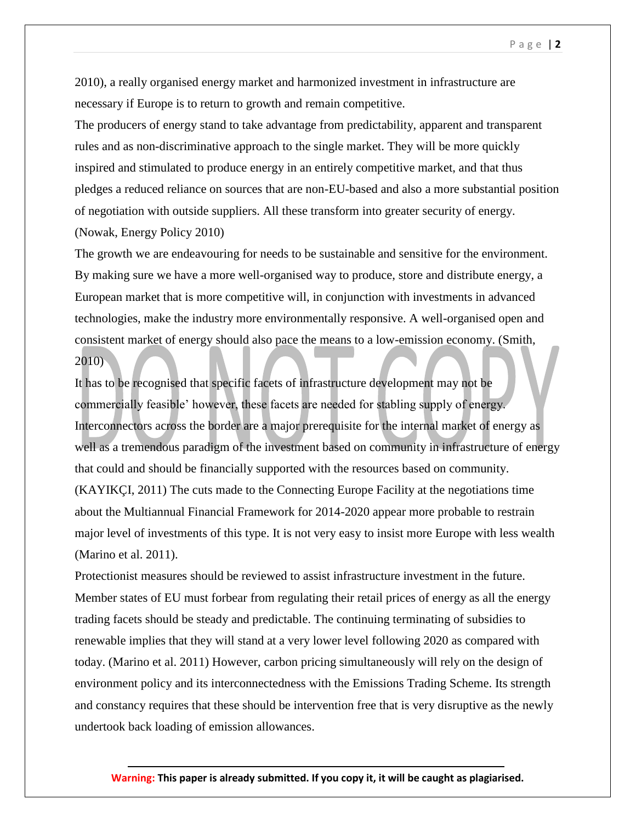2010), a really organised energy market and harmonized investment in infrastructure are necessary if Europe is to return to growth and remain competitive.

The producers of energy stand to take advantage from predictability, apparent and transparent rules and as non-discriminative approach to the single market. They will be more quickly inspired and stimulated to produce energy in an entirely competitive market, and that thus pledges a reduced reliance on sources that are non-EU-based and also a more substantial position of negotiation with outside suppliers. All these transform into greater security of energy. (Nowak, Energy Policy 2010)

The growth we are endeavouring for needs to be sustainable and sensitive for the environment. By making sure we have a more well-organised way to produce, store and distribute energy, a European market that is more competitive will, in conjunction with investments in advanced technologies, make the industry more environmentally responsive. A well-organised open and consistent market of energy should also pace the means to a low-emission economy. (Smith, 2010)

It has to be recognised that specific facets of infrastructure development may not be commercially feasible' however, these facets are needed for stabling supply of energy. Interconnectors across the border are a major prerequisite for the internal market of energy as well as a tremendous paradigm of the investment based on community in infrastructure of energy that could and should be financially supported with the resources based on community. (KAYIKÇI, 2011) The cuts made to the Connecting Europe Facility at the negotiations time about the Multiannual Financial Framework for 2014-2020 appear more probable to restrain major level of investments of this type. It is not very easy to insist more Europe with less wealth (Marino et al. 2011).

Protectionist measures should be reviewed to assist infrastructure investment in the future. Member states of EU must forbear from regulating their retail prices of energy as all the energy trading facets should be steady and predictable. The continuing terminating of subsidies to renewable implies that they will stand at a very lower level following 2020 as compared with today. (Marino et al. 2011) However, carbon pricing simultaneously will rely on the design of environment policy and its interconnectedness with the Emissions Trading Scheme. Its strength and constancy requires that these should be intervention free that is very disruptive as the newly undertook back loading of emission allowances.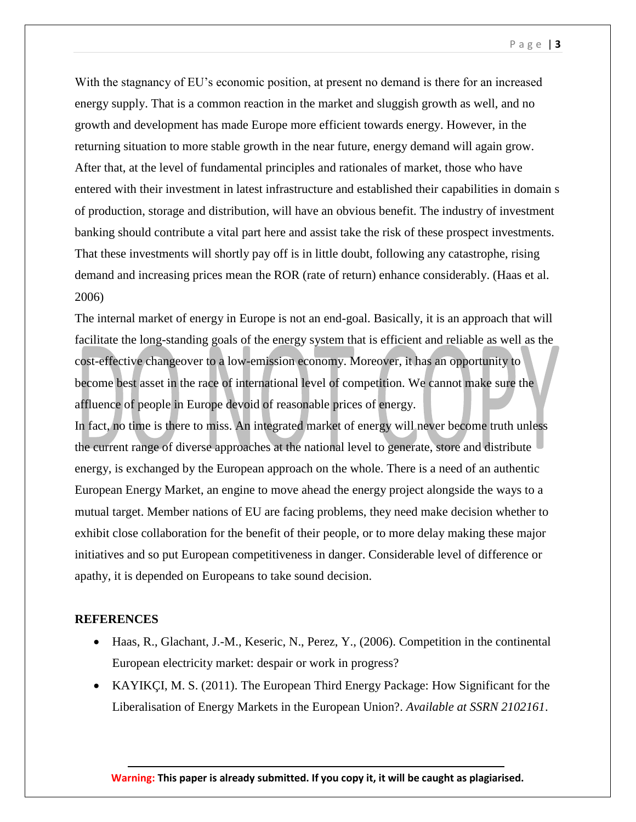P a g e | **3**

With the stagnancy of EU's economic position, at present no demand is there for an increased energy supply. That is a common reaction in the market and sluggish growth as well, and no growth and development has made Europe more efficient towards energy. However, in the returning situation to more stable growth in the near future, energy demand will again grow. After that, at the level of fundamental principles and rationales of market, those who have entered with their investment in latest infrastructure and established their capabilities in domain s of production, storage and distribution, will have an obvious benefit. The industry of investment banking should contribute a vital part here and assist take the risk of these prospect investments. That these investments will shortly pay off is in little doubt, following any catastrophe, rising demand and increasing prices mean the ROR (rate of return) enhance considerably. (Haas et al. 2006)

The internal market of energy in Europe is not an end-goal. Basically, it is an approach that will facilitate the long-standing goals of the energy system that is efficient and reliable as well as the cost-effective changeover to a low-emission economy. Moreover, it has an opportunity to become best asset in the race of international level of competition. We cannot make sure the affluence of people in Europe devoid of reasonable prices of energy.

In fact, no time is there to miss. An integrated market of energy will never become truth unless the current range of diverse approaches at the national level to generate, store and distribute energy, is exchanged by the European approach on the whole. There is a need of an authentic European Energy Market, an engine to move ahead the energy project alongside the ways to a mutual target. Member nations of EU are facing problems, they need make decision whether to exhibit close collaboration for the benefit of their people, or to more delay making these major initiatives and so put European competitiveness in danger. Considerable level of difference or apathy, it is depended on Europeans to take sound decision.

## **REFERENCES**

- Haas, R., Glachant, J.-M., Keseric, N., Perez, Y., (2006). Competition in the continental European electricity market: despair or work in progress?
- KAYIKÇI, M. S. (2011). The European Third Energy Package: How Significant for the Liberalisation of Energy Markets in the European Union?. *Available at SSRN 2102161*.

**Warning: This paper is already submitted. If you copy it, it will be caught as plagiarised.**